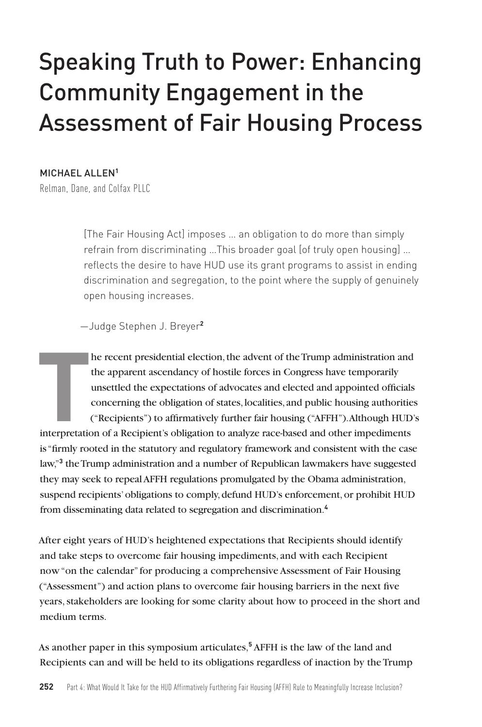# Speaking Truth to Power: Enhancing Community Engagement in the Assessment of Fair Housing Process

#### MICHAEL ALLEN**<sup>1</sup>**

Relman, Dane, and Colfax PLLC

[The Fair Housing Act] imposes … an obligation to do more than simply refrain from discriminating …This broader goal [of truly open housing] … reflects the desire to have HUD use its grant programs to assist in ending discrimination and segregation, to the point where the supply of genuinely open housing increases.

—Judge Stephen J. Breyer**<sup>2</sup>**

Interpretation and the apparent ascendancy of hostile forces in Congress have temporarily unsettled the expectations of advocates and elected and appointed officials concerning the obligation of states, localities, and pub he recent presidential election, the advent of the Trump administration and the apparent ascendancy of hostile forces in Congress have temporarily unsettled the expectations of advocates and elected and appointed officials concerning the obligation of states, localities, and public housing authorities ("Recipients") to affirmatively further fair housing ("AFFH"). Although HUD's is "firmly rooted in the statutory and regulatory framework and consistent with the case law,"**<sup>3</sup>** the Trump administration and a number of Republican lawmakers have suggested they may seek to repeal AFFH regulations promulgated by the Obama administration,

suspend recipients' obligations to comply, defund HUD's enforcement, or prohibit HUD from disseminating data related to segregation and discrimination.**<sup>4</sup>**

After eight years of HUD's heightened expectations that Recipients should identify and take steps to overcome fair housing impediments, and with each Recipient now "on the calendar" for producing a comprehensive Assessment of Fair Housing ("Assessment") and action plans to overcome fair housing barriers in the next five years, stakeholders are looking for some clarity about how to proceed in the short and medium terms.

As another paper in this symposium articulates,**<sup>5</sup>** AFFH is the law of the land and Recipients can and will be held to its obligations regardless of inaction by the Trump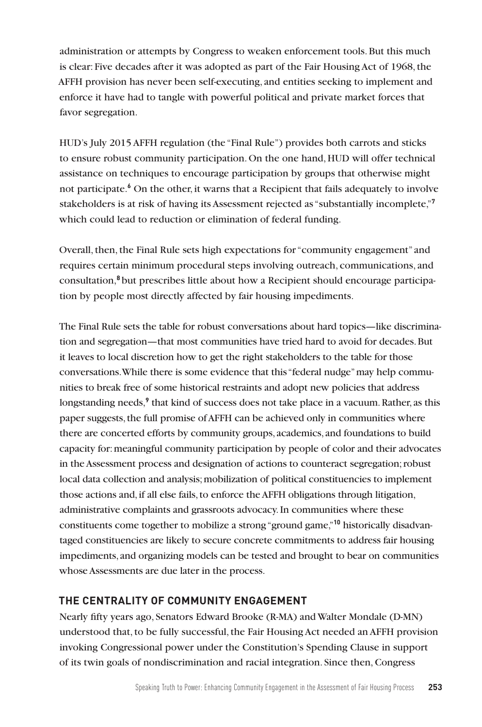administration or attempts by Congress to weaken enforcement tools. But this much is clear: Five decades after it was adopted as part of the Fair Housing Act of 1968, the AFFH provision has never been self-executing, and entities seeking to implement and enforce it have had to tangle with powerful political and private market forces that favor segregation.

HUD's July 2015 AFFH regulation (the "Final Rule") provides both carrots and sticks to ensure robust community participation. On the one hand, HUD will offer technical assistance on techniques to encourage participation by groups that otherwise might not participate.**<sup>6</sup>** On the other, it warns that a Recipient that fails adequately to involve stakeholders is at risk of having its Assessment rejected as "substantially incomplete,"**<sup>7</sup>** which could lead to reduction or elimination of federal funding.

Overall, then, the Final Rule sets high expectations for "community engagement" and requires certain minimum procedural steps involving outreach, communications, and consultation,**<sup>8</sup>** but prescribes little about how a Recipient should encourage participation by people most directly affected by fair housing impediments.

The Final Rule sets the table for robust conversations about hard topics—like discrimination and segregation—that most communities have tried hard to avoid for decades. But it leaves to local discretion how to get the right stakeholders to the table for those conversations. While there is some evidence that this "federal nudge" may help communities to break free of some historical restraints and adopt new policies that address longstanding needs,<sup>9</sup> that kind of success does not take place in a vacuum. Rather, as this paper suggests, the full promise of AFFH can be achieved only in communities where there are concerted efforts by community groups, academics, and foundations to build capacity for: meaningful community participation by people of color and their advocates in the Assessment process and designation of actions to counteract segregation; robust local data collection and analysis; mobilization of political constituencies to implement those actions and, if all else fails, to enforce the AFFH obligations through litigation, administrative complaints and grassroots advocacy. In communities where these constituents come together to mobilize a strong "ground game,"**10** historically disadvantaged constituencies are likely to secure concrete commitments to address fair housing impediments, and organizing models can be tested and brought to bear on communities whose Assessments are due later in the process.

# **THE CENTRALITY OF COMMUNITY ENGAGEMENT**

Nearly fifty years ago, Senators Edward Brooke (R-MA) and Walter Mondale (D-MN) understood that, to be fully successful, the Fair Housing Act needed an AFFH provision invoking Congressional power under the Constitution's Spending Clause in support of its twin goals of nondiscrimination and racial integration. Since then, Congress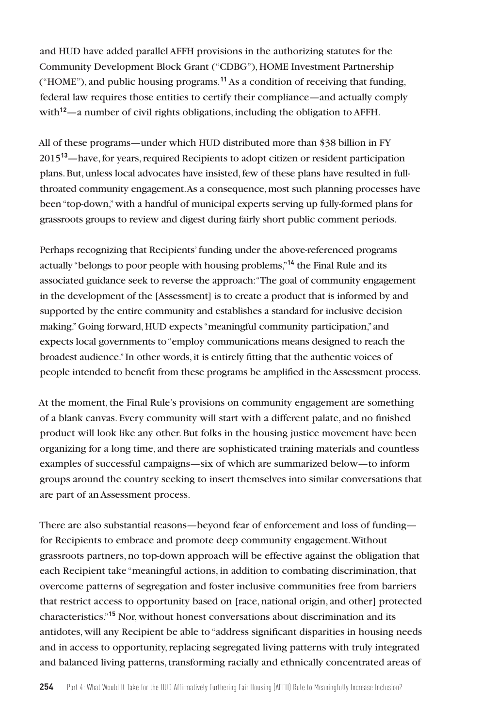and HUD have added parallel AFFH provisions in the authorizing statutes for the Community Development Block Grant ("CDBG"), HOME Investment Partnership ("HOME"), and public housing programs.**<sup>11</sup>** As a condition of receiving that funding, federal law requires those entities to certify their compliance—and actually comply with<sup>12</sup>—a number of civil rights obligations, including the obligation to AFFH.

All of these programs—under which HUD distributed more than \$38 billion in FY 2015**<sup>13</sup>**—have, for years, required Recipients to adopt citizen or resident participation plans. But, unless local advocates have insisted, few of these plans have resulted in fullthroated community engagement. As a consequence, most such planning processes have been "top-down," with a handful of municipal experts serving up fully-formed plans for grassroots groups to review and digest during fairly short public comment periods.

Perhaps recognizing that Recipients' funding under the above-referenced programs actually "belongs to poor people with housing problems,"**<sup>14</sup>** the Final Rule and its associated guidance seek to reverse the approach: "The goal of community engagement in the development of the [Assessment] is to create a product that is informed by and supported by the entire community and establishes a standard for inclusive decision making." Going forward, HUD expects "meaningful community participation," and expects local governments to "employ communications means designed to reach the broadest audience." In other words, it is entirely fitting that the authentic voices of people intended to benefit from these programs be amplified in the Assessment process.

At the moment, the Final Rule's provisions on community engagement are something of a blank canvas. Every community will start with a different palate, and no finished product will look like any other. But folks in the housing justice movement have been organizing for a long time, and there are sophisticated training materials and countless examples of successful campaigns—six of which are summarized below—to inform groups around the country seeking to insert themselves into similar conversations that are part of an Assessment process.

There are also substantial reasons—beyond fear of enforcement and loss of funding for Recipients to embrace and promote deep community engagement. Without grassroots partners, no top-down approach will be effective against the obligation that each Recipient take "meaningful actions, in addition to combating discrimination, that overcome patterns of segregation and foster inclusive communities free from barriers that restrict access to opportunity based on [race, national origin, and other] protected characteristics."**<sup>15</sup>** Nor, without honest conversations about discrimination and its antidotes, will any Recipient be able to "address significant disparities in housing needs and in access to opportunity, replacing segregated living patterns with truly integrated and balanced living patterns, transforming racially and ethnically concentrated areas of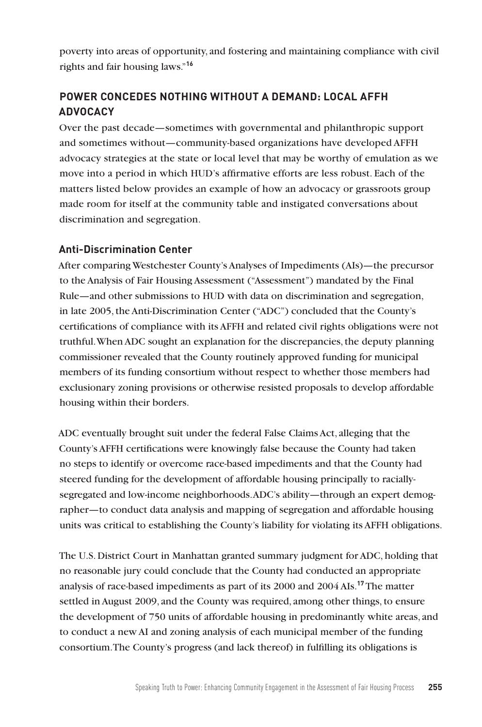poverty into areas of opportunity, and fostering and maintaining compliance with civil rights and fair housing laws."**<sup>16</sup>**

# **POWER CONCEDES NOTHING WITHOUT A DEMAND: LOCAL AFFH ADVOCACY**

Over the past decade—sometimes with governmental and philanthropic support and sometimes without—community-based organizations have developed AFFH advocacy strategies at the state or local level that may be worthy of emulation as we move into a period in which HUD's affirmative efforts are less robust. Each of the matters listed below provides an example of how an advocacy or grassroots group made room for itself at the community table and instigated conversations about discrimination and segregation.

## **Anti-Discrimination Center**

After comparing Westchester County's Analyses of Impediments (AIs)—the precursor to the Analysis of Fair Housing Assessment ("Assessment") mandated by the Final Rule—and other submissions to HUD with data on discrimination and segregation, in late 2005, the Anti-Discrimination Center ("ADC") concluded that the County's certifications of compliance with its AFFH and related civil rights obligations were not truthful. When ADC sought an explanation for the discrepancies, the deputy planning commissioner revealed that the County routinely approved funding for municipal members of its funding consortium without respect to whether those members had exclusionary zoning provisions or otherwise resisted proposals to develop affordable housing within their borders.

ADC eventually brought suit under the federal False Claims Act, alleging that the County's AFFH certifications were knowingly false because the County had taken no steps to identify or overcome race-based impediments and that the County had steered funding for the development of affordable housing principally to raciallysegregated and low-income neighborhoods. ADC's ability—through an expert demographer—to conduct data analysis and mapping of segregation and affordable housing units was critical to establishing the County's liability for violating its AFFH obligations.

The U.S. District Court in Manhattan granted summary judgment for ADC, holding that no reasonable jury could conclude that the County had conducted an appropriate analysis of race-based impediments as part of its 2000 and 2004 AIs.**<sup>17</sup>** The matter settled in August 2009, and the County was required, among other things, to ensure the development of 750 units of affordable housing in predominantly white areas, and to conduct a new AI and zoning analysis of each municipal member of the funding consortium. The County's progress (and lack thereof) in fulfilling its obligations is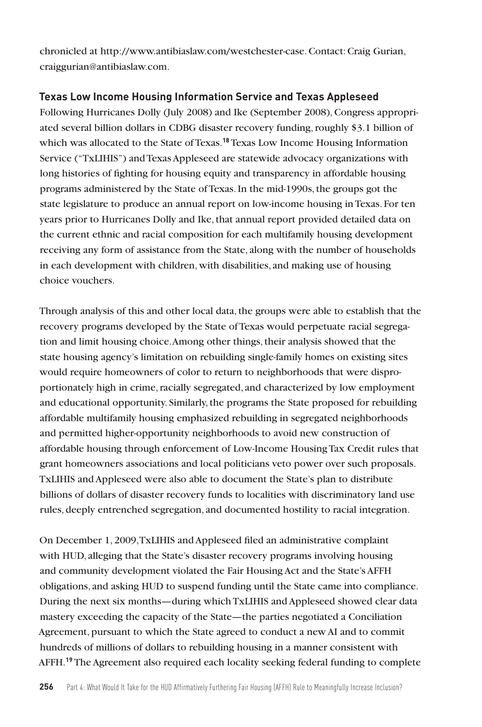chronicled at http://www.antibiaslaw.com/westchester-case. Contact: Craig Gurian, craiggurian@antibiaslaw.com.

# **Texas Low Income Housing Information Service and Texas Appleseed**

Following Hurricanes Dolly (July 2008) and Ike (September 2008), Congress appropriated several billion dollars in CDBG disaster recovery funding, roughly \$3.1 billion of which was allocated to the State of Texas.**<sup>18</sup>** Texas Low Income Housing Information Service ("TxLIHIS") and Texas Appleseed are statewide advocacy organizations with long histories of fighting for housing equity and transparency in affordable housing programs administered by the State of Texas. In the mid-1990s, the groups got the state legislature to produce an annual report on low-income housing in Texas. For ten years prior to Hurricanes Dolly and Ike, that annual report provided detailed data on the current ethnic and racial composition for each multifamily housing development receiving any form of assistance from the State, along with the number of households in each development with children, with disabilities, and making use of housing choice vouchers.

Through analysis of this and other local data, the groups were able to establish that the recovery programs developed by the State of Texas would perpetuate racial segregation and limit housing choice. Among other things, their analysis showed that the state housing agency's limitation on rebuilding single-family homes on existing sites would require homeowners of color to return to neighborhoods that were disproportionately high in crime, racially segregated, and characterized by low employment and educational opportunity. Similarly, the programs the State proposed for rebuilding affordable multifamily housing emphasized rebuilding in segregated neighborhoods and permitted higher-opportunity neighborhoods to avoid new construction of affordable housing through enforcement of Low-Income Housing Tax Credit rules that grant homeowners associations and local politicians veto power over such proposals. TxLIHIS and Appleseed were also able to document the State's plan to distribute billions of dollars of disaster recovery funds to localities with discriminatory land use rules, deeply entrenched segregation, and documented hostility to racial integration.

On December 1, 2009, TxLIHIS and Appleseed filed an administrative complaint with HUD, alleging that the State's disaster recovery programs involving housing and community development violated the Fair Housing Act and the State's AFFH obligations, and asking HUD to suspend funding until the State came into compliance. During the next six months—during which TxLIHIS and Appleseed showed clear data mastery exceeding the capacity of the State—the parties negotiated a Conciliation Agreement, pursuant to which the State agreed to conduct a new AI and to commit hundreds of millions of dollars to rebuilding housing in a manner consistent with AFFH.**19** The Agreement also required each locality seeking federal funding to complete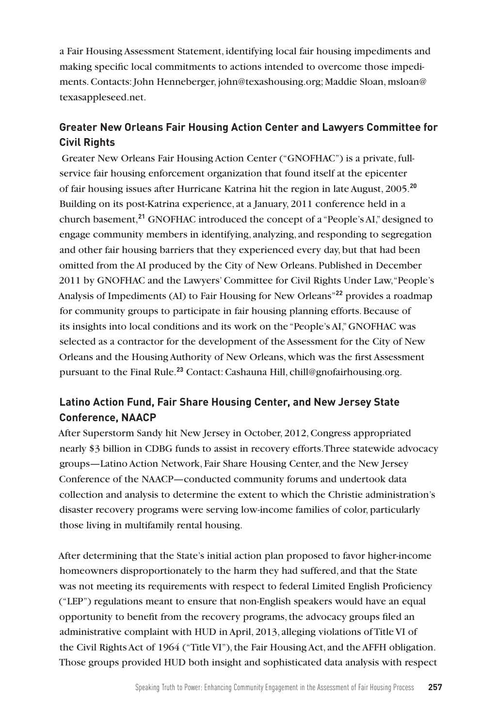a Fair Housing Assessment Statement, identifying local fair housing impediments and making specific local commitments to actions intended to overcome those impediments. Contacts: John Henneberger, john@texashousing.org; Maddie Sloan, msloan@ texasappleseed.net.

# **Greater New Orleans Fair Housing Action Center and Lawyers Committee for Civil Rights**

 Greater New Orleans Fair Housing Action Center ("GNOFHAC") is a private, fullservice fair housing enforcement organization that found itself at the epicenter of fair housing issues after Hurricane Katrina hit the region in late August, 2005.**<sup>20</sup>** Building on its post-Katrina experience, at a January, 2011 conference held in a church basement,**<sup>21</sup>** GNOFHAC introduced the concept of a "People's AI," designed to engage community members in identifying, analyzing, and responding to segregation and other fair housing barriers that they experienced every day, but that had been omitted from the AI produced by the City of New Orleans. Published in December 2011 by GNOFHAC and the Lawyers' Committee for Civil Rights Under Law, "People's Analysis of Impediments (AI) to Fair Housing for New Orleans"**<sup>22</sup>** provides a roadmap for community groups to participate in fair housing planning efforts. Because of its insights into local conditions and its work on the "People's AI," GNOFHAC was selected as a contractor for the development of the Assessment for the City of New Orleans and the Housing Authority of New Orleans, which was the first Assessment pursuant to the Final Rule.**<sup>23</sup>** Contact: Cashauna Hill, chill@gnofairhousing.org.

# **Latino Action Fund, Fair Share Housing Center, and New Jersey State Conference, NAACP**

After Superstorm Sandy hit New Jersey in October, 2012, Congress appropriated nearly \$3 billion in CDBG funds to assist in recovery efforts. Three statewide advocacy groups—Latino Action Network, Fair Share Housing Center, and the New Jersey Conference of the NAACP—conducted community forums and undertook data collection and analysis to determine the extent to which the Christie administration's disaster recovery programs were serving low-income families of color, particularly those living in multifamily rental housing.

After determining that the State's initial action plan proposed to favor higher-income homeowners disproportionately to the harm they had suffered, and that the State was not meeting its requirements with respect to federal Limited English Proficiency ("LEP") regulations meant to ensure that non-English speakers would have an equal opportunity to benefit from the recovery programs, the advocacy groups filed an administrative complaint with HUD in April, 2013, alleging violations of Title VI of the Civil Rights Act of 1964 ("Title VI"), the Fair Housing Act, and the AFFH obligation. Those groups provided HUD both insight and sophisticated data analysis with respect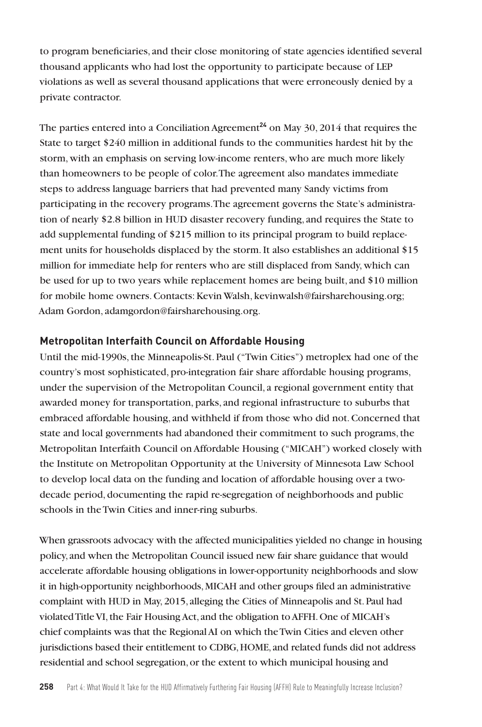to program beneficiaries, and their close monitoring of state agencies identified several thousand applicants who had lost the opportunity to participate because of LEP violations as well as several thousand applications that were erroneously denied by a private contractor.

The parties entered into a Conciliation Agreement<sup>24</sup> on May 30, 2014 that requires the State to target \$240 million in additional funds to the communities hardest hit by the storm, with an emphasis on serving low-income renters, who are much more likely than homeowners to be people of color. The agreement also mandates immediate steps to address language barriers that had prevented many Sandy victims from participating in the recovery programs. The agreement governs the State's administration of nearly \$2.8 billion in HUD disaster recovery funding, and requires the State to add supplemental funding of \$215 million to its principal program to build replacement units for households displaced by the storm. It also establishes an additional \$15 million for immediate help for renters who are still displaced from Sandy, which can be used for up to two years while replacement homes are being built, and \$10 million for mobile home owners. Contacts: Kevin Walsh, kevinwalsh@fairsharehousing.org; Adam Gordon, adamgordon@fairsharehousing.org.

#### **Metropolitan Interfaith Council on Affordable Housing**

Until the mid-1990s, the Minneapolis-St. Paul ("Twin Cities") metroplex had one of the country's most sophisticated, pro-integration fair share affordable housing programs, under the supervision of the Metropolitan Council, a regional government entity that awarded money for transportation, parks, and regional infrastructure to suburbs that embraced affordable housing, and withheld if from those who did not. Concerned that state and local governments had abandoned their commitment to such programs, the Metropolitan Interfaith Council on Affordable Housing ("MICAH") worked closely with the Institute on Metropolitan Opportunity at the University of Minnesota Law School to develop local data on the funding and location of affordable housing over a twodecade period, documenting the rapid re-segregation of neighborhoods and public schools in the Twin Cities and inner-ring suburbs.

When grassroots advocacy with the affected municipalities yielded no change in housing policy, and when the Metropolitan Council issued new fair share guidance that would accelerate affordable housing obligations in lower-opportunity neighborhoods and slow it in high-opportunity neighborhoods, MICAH and other groups filed an administrative complaint with HUD in May, 2015, alleging the Cities of Minneapolis and St. Paul had violated Title VI, the Fair Housing Act, and the obligation to AFFH. One of MICAH's chief complaints was that the Regional AI on which the Twin Cities and eleven other jurisdictions based their entitlement to CDBG, HOME, and related funds did not address residential and school segregation, or the extent to which municipal housing and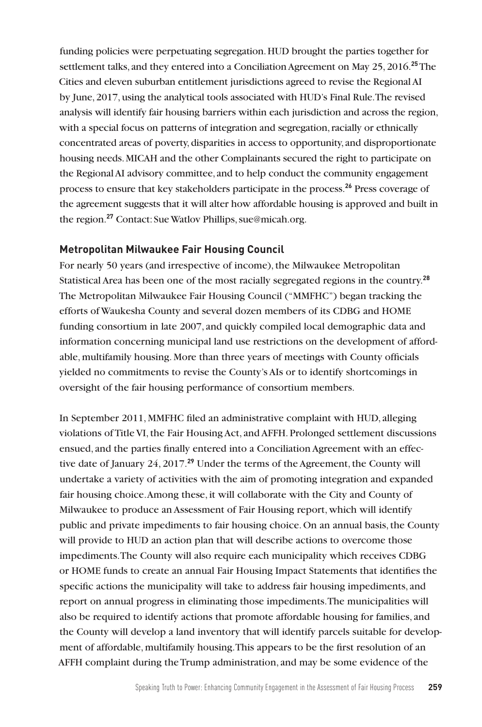funding policies were perpetuating segregation. HUD brought the parties together for settlement talks, and they entered into a Conciliation Agreement on May 25, 2016.**<sup>25</sup>** The Cities and eleven suburban entitlement jurisdictions agreed to revise the Regional AI by June, 2017, using the analytical tools associated with HUD's Final Rule. The revised analysis will identify fair housing barriers within each jurisdiction and across the region, with a special focus on patterns of integration and segregation, racially or ethnically concentrated areas of poverty, disparities in access to opportunity, and disproportionate housing needs. MICAH and the other Complainants secured the right to participate on the Regional AI advisory committee, and to help conduct the community engagement process to ensure that key stakeholders participate in the process.**<sup>26</sup>** Press coverage of the agreement suggests that it will alter how affordable housing is approved and built in the region.**<sup>27</sup>** Contact: Sue Watlov Phillips, sue@micah.org.

#### **Metropolitan Milwaukee Fair Housing Council**

For nearly 50 years (and irrespective of income), the Milwaukee Metropolitan Statistical Area has been one of the most racially segregated regions in the country.**<sup>28</sup>** The Metropolitan Milwaukee Fair Housing Council ("MMFHC") began tracking the efforts of Waukesha County and several dozen members of its CDBG and HOME funding consortium in late 2007, and quickly compiled local demographic data and information concerning municipal land use restrictions on the development of affordable, multifamily housing. More than three years of meetings with County officials yielded no commitments to revise the County's AIs or to identify shortcomings in oversight of the fair housing performance of consortium members.

In September 2011, MMFHC filed an administrative complaint with HUD, alleging violations of Title VI, the Fair Housing Act, and AFFH. Prolonged settlement discussions ensued, and the parties finally entered into a Conciliation Agreement with an effective date of January 24, 2017.**<sup>29</sup>** Under the terms of the Agreement, the County will undertake a variety of activities with the aim of promoting integration and expanded fair housing choice. Among these, it will collaborate with the City and County of Milwaukee to produce an Assessment of Fair Housing report, which will identify public and private impediments to fair housing choice. On an annual basis, the County will provide to HUD an action plan that will describe actions to overcome those impediments. The County will also require each municipality which receives CDBG or HOME funds to create an annual Fair Housing Impact Statements that identifies the specific actions the municipality will take to address fair housing impediments, and report on annual progress in eliminating those impediments. The municipalities will also be required to identify actions that promote affordable housing for families, and the County will develop a land inventory that will identify parcels suitable for development of affordable, multifamily housing. This appears to be the first resolution of an AFFH complaint during the Trump administration, and may be some evidence of the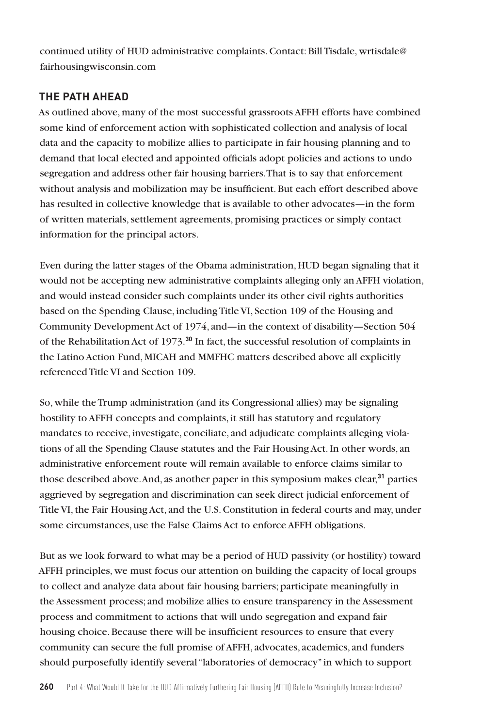continued utility of HUD administrative complaints. Contact: Bill Tisdale, wrtisdale@ fairhousingwisconsin.com

# **THE PATH AHEAD**

As outlined above, many of the most successful grassroots AFFH efforts have combined some kind of enforcement action with sophisticated collection and analysis of local data and the capacity to mobilize allies to participate in fair housing planning and to demand that local elected and appointed officials adopt policies and actions to undo segregation and address other fair housing barriers. That is to say that enforcement without analysis and mobilization may be insufficient. But each effort described above has resulted in collective knowledge that is available to other advocates—in the form of written materials, settlement agreements, promising practices or simply contact information for the principal actors.

Even during the latter stages of the Obama administration, HUD began signaling that it would not be accepting new administrative complaints alleging only an AFFH violation, and would instead consider such complaints under its other civil rights authorities based on the Spending Clause, including Title VI, Section 109 of the Housing and Community Development Act of 1974, and—in the context of disability—Section 504 of the Rehabilitation Act of 1973.**<sup>30</sup>** In fact, the successful resolution of complaints in the Latino Action Fund, MICAH and MMFHC matters described above all explicitly referenced Title VI and Section 109.

So, while the Trump administration (and its Congressional allies) may be signaling hostility to AFFH concepts and complaints, it still has statutory and regulatory mandates to receive, investigate, conciliate, and adjudicate complaints alleging violations of all the Spending Clause statutes and the Fair Housing Act. In other words, an administrative enforcement route will remain available to enforce claims similar to those described above. And, as another paper in this symposium makes clear,**<sup>31</sup>** parties aggrieved by segregation and discrimination can seek direct judicial enforcement of Title VI, the Fair Housing Act, and the U.S. Constitution in federal courts and may, under some circumstances, use the False Claims Act to enforce AFFH obligations.

But as we look forward to what may be a period of HUD passivity (or hostility) toward AFFH principles, we must focus our attention on building the capacity of local groups to collect and analyze data about fair housing barriers; participate meaningfully in the Assessment process; and mobilize allies to ensure transparency in the Assessment process and commitment to actions that will undo segregation and expand fair housing choice. Because there will be insufficient resources to ensure that every community can secure the full promise of AFFH, advocates, academics, and funders should purposefully identify several "laboratories of democracy" in which to support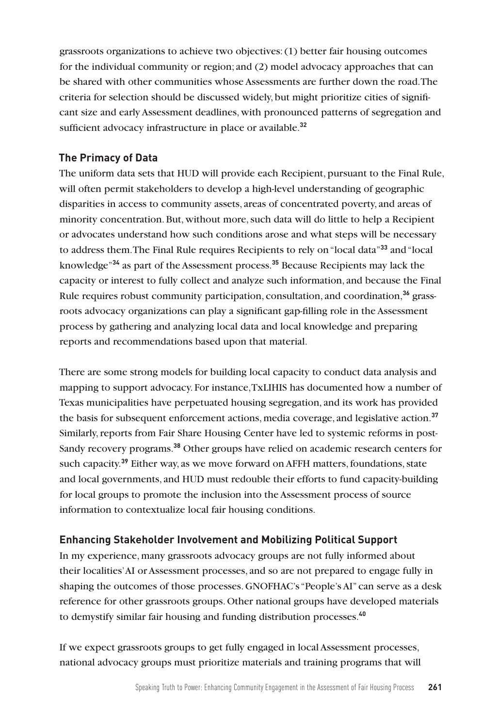grassroots organizations to achieve two objectives: (1) better fair housing outcomes for the individual community or region; and (2) model advocacy approaches that can be shared with other communities whose Assessments are further down the road. The criteria for selection should be discussed widely, but might prioritize cities of significant size and early Assessment deadlines, with pronounced patterns of segregation and sufficient advocacy infrastructure in place or available.**<sup>32</sup>**

## **The Primacy of Data**

The uniform data sets that HUD will provide each Recipient, pursuant to the Final Rule, will often permit stakeholders to develop a high-level understanding of geographic disparities in access to community assets, areas of concentrated poverty, and areas of minority concentration. But, without more, such data will do little to help a Recipient or advocates understand how such conditions arose and what steps will be necessary to address them. The Final Rule requires Recipients to rely on "local data"**<sup>33</sup>** and "local knowledge"**<sup>34</sup>** as part of the Assessment process.**<sup>35</sup>** Because Recipients may lack the capacity or interest to fully collect and analyze such information, and because the Final Rule requires robust community participation, consultation, and coordination,**36** grassroots advocacy organizations can play a significant gap-filling role in the Assessment process by gathering and analyzing local data and local knowledge and preparing reports and recommendations based upon that material.

There are some strong models for building local capacity to conduct data analysis and mapping to support advocacy. For instance, TxLIHIS has documented how a number of Texas municipalities have perpetuated housing segregation, and its work has provided the basis for subsequent enforcement actions, media coverage, and legislative action.**<sup>37</sup>** Similarly, reports from Fair Share Housing Center have led to systemic reforms in post-Sandy recovery programs.**<sup>38</sup>** Other groups have relied on academic research centers for such capacity.**<sup>39</sup>** Either way, as we move forward on AFFH matters, foundations, state and local governments, and HUD must redouble their efforts to fund capacity-building for local groups to promote the inclusion into the Assessment process of source information to contextualize local fair housing conditions.

# **Enhancing Stakeholder Involvement and Mobilizing Political Support**

In my experience, many grassroots advocacy groups are not fully informed about their localities' AI or Assessment processes, and so are not prepared to engage fully in shaping the outcomes of those processes. GNOFHAC's "People's AI" can serve as a desk reference for other grassroots groups. Other national groups have developed materials to demystify similar fair housing and funding distribution processes.**<sup>40</sup>**

If we expect grassroots groups to get fully engaged in local Assessment processes, national advocacy groups must prioritize materials and training programs that will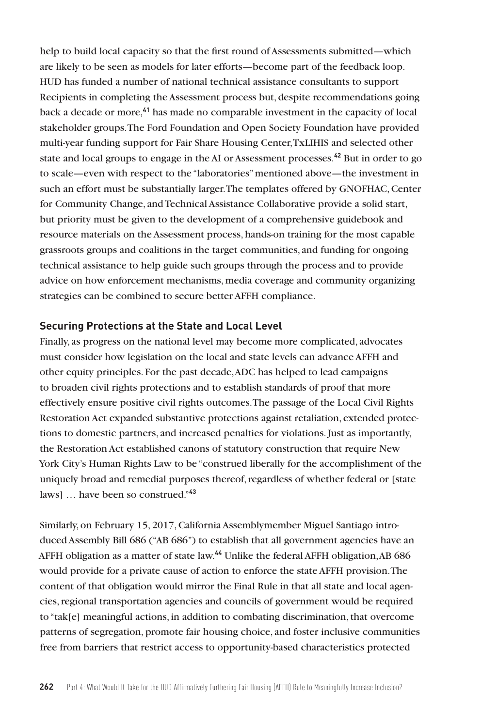help to build local capacity so that the first round of Assessments submitted—which are likely to be seen as models for later efforts—become part of the feedback loop. HUD has funded a number of national technical assistance consultants to support Recipients in completing the Assessment process but, despite recommendations going back a decade or more,**<sup>41</sup>** has made no comparable investment in the capacity of local stakeholder groups. The Ford Foundation and Open Society Foundation have provided multi-year funding support for Fair Share Housing Center, TxLIHIS and selected other state and local groups to engage in the AI or Assessment processes.**<sup>42</sup>** But in order to go to scale—even with respect to the "laboratories" mentioned above—the investment in such an effort must be substantially larger. The templates offered by GNOFHAC, Center for Community Change, and Technical Assistance Collaborative provide a solid start, but priority must be given to the development of a comprehensive guidebook and resource materials on the Assessment process, hands-on training for the most capable grassroots groups and coalitions in the target communities, and funding for ongoing technical assistance to help guide such groups through the process and to provide advice on how enforcement mechanisms, media coverage and community organizing strategies can be combined to secure better AFFH compliance.

#### **Securing Protections at the State and Local Level**

Finally, as progress on the national level may become more complicated, advocates must consider how legislation on the local and state levels can advance AFFH and other equity principles. For the past decade, ADC has helped to lead campaigns to broaden civil rights protections and to establish standards of proof that more effectively ensure positive civil rights outcomes. The passage of the Local Civil Rights Restoration Act expanded substantive protections against retaliation, extended protections to domestic partners, and increased penalties for violations. Just as importantly, the Restoration Act established canons of statutory construction that require New York City's Human Rights Law to be "construed liberally for the accomplishment of the uniquely broad and remedial purposes thereof, regardless of whether federal or [state laws] … have been so construed."**<sup>43</sup>**

Similarly, on February 15, 2017, California Assemblymember Miguel Santiago introduced Assembly Bill 686 ("AB 686") to establish that all government agencies have an AFFH obligation as a matter of state law.**<sup>44</sup>** Unlike the federal AFFH obligation, AB 686 would provide for a private cause of action to enforce the state AFFH provision. The content of that obligation would mirror the Final Rule in that all state and local agencies, regional transportation agencies and councils of government would be required to "tak[e] meaningful actions, in addition to combating discrimination, that overcome patterns of segregation, promote fair housing choice, and foster inclusive communities free from barriers that restrict access to opportunity-based characteristics protected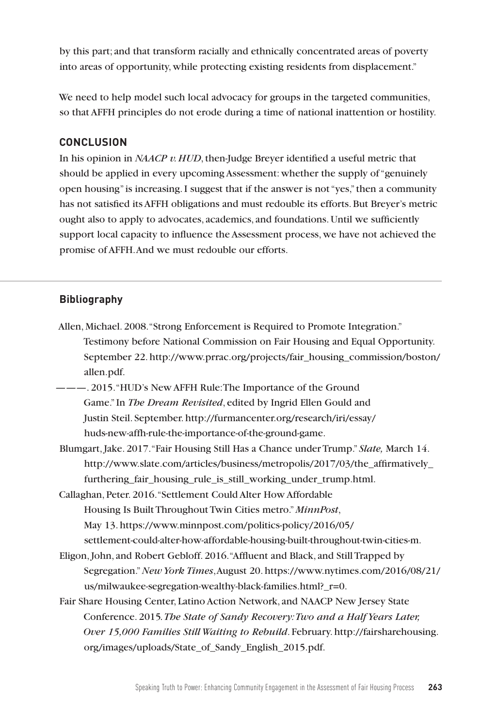by this part; and that transform racially and ethnically concentrated areas of poverty into areas of opportunity, while protecting existing residents from displacement."

We need to help model such local advocacy for groups in the targeted communities, so that AFFH principles do not erode during a time of national inattention or hostility.

## **CONCLUSION**

In his opinion in *NAACP v. HUD*, then-Judge Breyer identified a useful metric that should be applied in every upcoming Assessment: whether the supply of "genuinely open housing" is increasing. I suggest that if the answer is not "yes," then a community has not satisfied its AFFH obligations and must redouble its efforts. But Breyer's metric ought also to apply to advocates, academics, and foundations. Until we sufficiently support local capacity to influence the Assessment process, we have not achieved the promise of AFFH. And we must redouble our efforts.

# **Bibliography**

- Allen, Michael. 2008. "Strong Enforcement is Required to Promote Integration." Testimony before National Commission on Fair Housing and Equal Opportunity. September 22. http://www.prrac.org/projects/fair\_housing\_commission/boston/ allen.pdf.
- --- 2015. "HUD's New AFFH Rule: The Importance of the Ground Game." In *The Dream Revisited*, edited by Ingrid Ellen Gould and Justin Steil. September. http://furmancenter.org/research/iri/essay/ huds-new-affh-rule-the-importance-of-the-ground-game.
- Blumgart, Jake. 2017. "Fair Housing Still Has a Chance under Trump." *Slate,* March 14. http://www.slate.com/articles/business/metropolis/2017/03/the\_affirmatively\_ furthering fair housing rule is still working under trump.html.
- Callaghan, Peter. 2016. "Settlement Could Alter How Affordable Housing Is Built Throughout Twin Cities metro." *MinnPost*, May 13. https://www.minnpost.com/politics-policy/2016/05/ settlement-could-alter-how-affordable-housing-built-throughout-twin-cities-m.
- Eligon, John, and Robert Gebloff. 2016. "Affluent and Black, and Still Trapped by Segregation." *New York Times*, August 20. https://www.nytimes.com/2016/08/21/ us/milwaukee-segregation-wealthy-black-families.html?\_r=0.
- Fair Share Housing Center, Latino Action Network, and NAACP New Jersey State Conference. 2015*. The State of Sandy Recovery: Two and a Half Years Later, Over 15,000 Families Still Waiting to Rebuild*. February. http://fairsharehousing. org/images/uploads/State\_of\_Sandy\_English\_2015.pdf.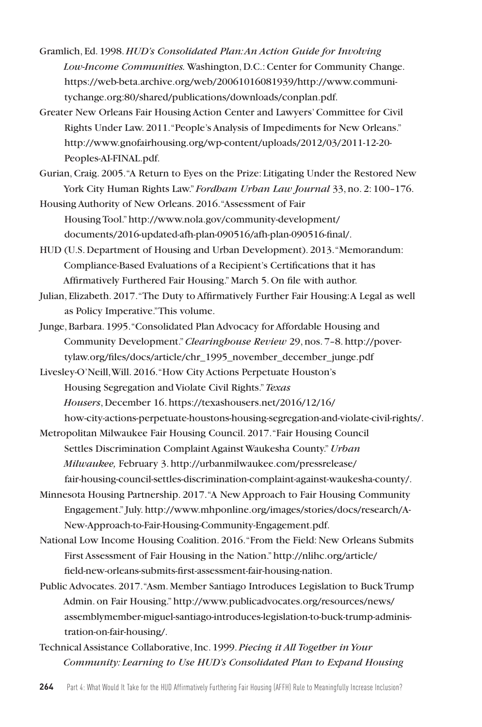- Gramlich, Ed. 1998. *HUD's Consolidated Plan: An Action Guide for Involving Low-Income Communities.* Washington, D.C.: Center for Community Change. https://web-beta.archive.org/web/20061016081939/http://www.communitychange.org:80/shared/publications/downloads/conplan.pdf.
- Greater New Orleans Fair Housing Action Center and Lawyers' Committee for Civil Rights Under Law. 2011. "People's Analysis of Impediments for New Orleans." http://www.gnofairhousing.org/wp-content/uploads/2012/03/2011-12-20- Peoples-AI-FINAL.pdf.
- Gurian, Craig. 2005. "A Return to Eyes on the Prize: Litigating Under the Restored New York City Human Rights Law." *Fordham Urban Law Journal* 33, no. 2: 100–176.
- Housing Authority of New Orleans. 2016. "Assessment of Fair Housing Tool." http://www.nola.gov/community-development/ documents/2016-updated-afh-plan-090516/afh-plan-090516-final/.
- HUD (U.S. Department of Housing and Urban Development). 2013. "Memorandum: Compliance-Based Evaluations of a Recipient's Certifications that it has Affirmatively Furthered Fair Housing." March 5. On file with author.
- Julian, Elizabeth. 2017. "The Duty to Affirmatively Further Fair Housing: A Legal as well as Policy Imperative." This volume.
- Junge, Barbara. 1995. "Consolidated Plan Advocacy for Affordable Housing and Community Development." *Clearinghouse Review* 29, nos. 7–8. http://povertylaw.org/files/docs/article/chr\_1995\_november\_december\_junge.pdf
- Livesley-O'Neill, Will. 2016. "How City Actions Perpetuate Houston's Housing Segregation and Violate Civil Rights." *Texas Housers*, December 16. https://texashousers.net/2016/12/16/ how-city-actions-perpetuate-houstons-housing-segregation-and-violate-civil-rights/.
- Metropolitan Milwaukee Fair Housing Council. 2017. "Fair Housing Council Settles Discrimination Complaint Against Waukesha County." *Urban Milwaukee,* February 3. http://urbanmilwaukee.com/pressrelease/ fair-housing-council-settles-discrimination-complaint-against-waukesha-county/.
- Minnesota Housing Partnership. 2017. "A New Approach to Fair Housing Community Engagement." July. http://www.mhponline.org/images/stories/docs/research/A-New-Approach-to-Fair-Housing-Community-Engagement.pdf.
- National Low Income Housing Coalition. 2016. "From the Field: New Orleans Submits First Assessment of Fair Housing in the Nation." http://nlihc.org/article/ field-new-orleans-submits-first-assessment-fair-housing-nation.
- Public Advocates. 2017. "Asm. Member Santiago Introduces Legislation to Buck Trump Admin. on Fair Housing." http://www.publicadvocates.org/resources/news/ assemblymember-miguel-santiago-introduces-legislation-to-buck-trump-administration-on-fair-housing/.
- Technical Assistance Collaborative, Inc. 1999. *Piecing it All Together in Your Community: Learning to Use HUD's Consolidated Plan to Expand Housing*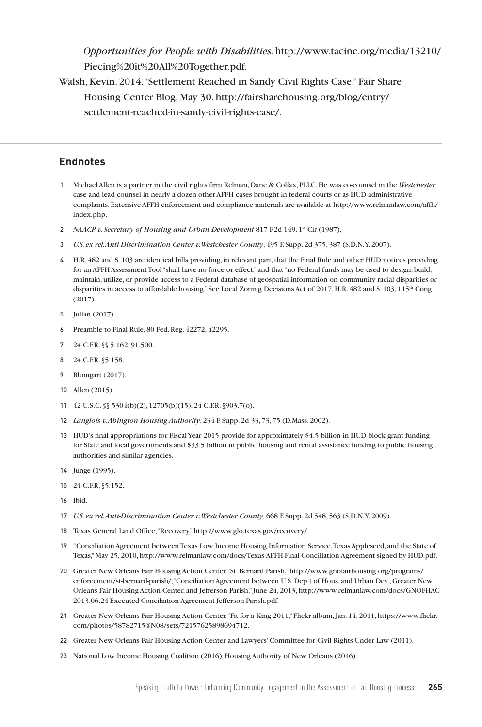*Opportunities for People with Disabilities.* http://www.tacinc.org/media/13210/ Piecing%20it%20All%20Together.pdf.

Walsh, Kevin. 2014. "Settlement Reached in Sandy Civil Rights Case." Fair Share Housing Center Blog, May 30. http://fairsharehousing.org/blog/entry/ settlement-reached-in-sandy-civil-rights-case/.

#### **Endnotes**

- 1 Michael Allen is a partner in the civil rights firm Relman, Dane & Colfax, PLLC. He was co-counsel in the *Westchester*  case and lead counsel in nearly a dozen other AFFH cases brought in federal courts or as HUD administrative complaints. Extensive AFFH enforcement and compliance materials are available at http://www.relmanlaw.com/affh/ index.php.
- 2 *NAACP v. Secretary of Housing and Urban Development* 817 F.2d 149. 1<sup>st</sup> Cir (1987).
- 3 *U.S. ex rel. Anti-Discrimination Center v. Westchester County*, 495 F. Supp. 2d 375, 387 (S.D.N.Y. 2007).
- 4 H.R. 482 and S. 103 are identical bills providing, in relevant part, that the Final Rule and other HUD notices providing for an AFFH Assessment Tool "shall have no force or effect," and that "no Federal funds may be used to design, build, maintain, utilize, or provide access to a Federal database of geospatial information on community racial disparities or disparities in access to affordable housing." See Local Zoning Decisions Act of 2017, H.R. 482 and S. 103, 115<sup>th</sup> Cong. (2017).
- 5 Julian (2017).
- 6 Preamble to Final Rule, 80 Fed. Reg. 42272, 42295.
- 7 24 C.F.R. §§ 5.162, 91.500.
- 8 24 C.F.R. §5.158.
- 9 Blumgart (2017).
- 10 Allen (2015).
- 11 42 U.S.C. §§ 5304(b)(2), 12705(b)(15), 24 C.F.R. §903.7(o).
- 12 *Langlois v. Abington Housing Authority*, 234 F. Supp. 2d 33, 73, 75 (D.Mass. 2002).
- 13 HUD's final appropriations for Fiscal Year 2015 provide for approximately \$4.5 billion in HUD block grant funding for State and local governments and \$33.5 billion in public housing and rental assistance funding to public housing authorities and similar agencies.
- 14 Junge (1995).
- 15 24 C.F.R. §5.152.
- 16 Ibid.
- 17 *U.S. ex rel. Anti-Discrimination Center v. Westchester County,* 668 F. Supp. 2d 548, 563 (S.D.N.Y. 2009).
- 18 Texas General Land Office, "Recovery," http://www.glo.texas.gov/recovery/.
- 19 "Conciliation Agreement between Texas Low Income Housing Information Service, Texas Appleseed, and the State of Texas," May 25, 2010, http://www.relmanlaw.com/docs/Texas-AFFH-Final-Conciliation-Agreement-signed-by-HUD.pdf.
- 20 Greater New Orleans Fair Housing Action Center, "St. Bernard Parish," http://www.gnofairhousing.org/programs/ enforcement/st-bernard-parish/; "Conciliation Agreement between U.S. Dep't of Hous. and Urban Dev., Greater New Orleans Fair Housing Action Center, and Jefferson Parish," June 24, 2013, http://www.relmanlaw.com/docs/GNOFHAC-2013.06.24-Executed-Conciliation-Agreement-Jefferson-Parish.pdf.
- 21 Greater New Orleans Fair Housing Action Center, "Fit for a King 2011," Flickr album, Jan. 14, 2011, https://www.flickr. com/photos/58782715@N08/sets/72157625898694712.
- 22 Greater New Orleans Fair Housing Action Center and Lawyers' Committee for Civil Rights Under Law (2011).
- 23 National Low Income Housing Coalition (2016); Housing Authority of New Orleans (2016).